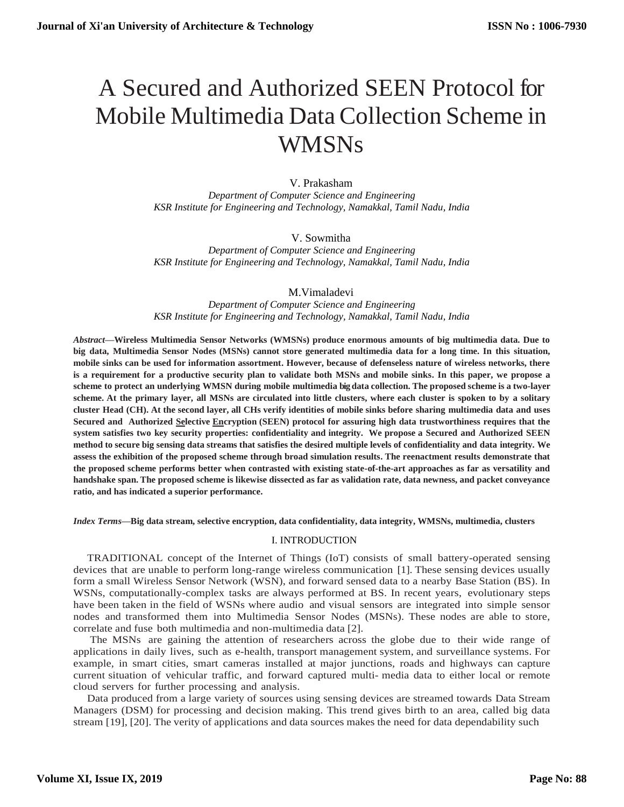# A Secured and Authorized SEEN Protocol for Mobile Multimedia Data Collection Scheme in WMSNs

# V. Prakasham

*Department of Computer Science and Engineering KSR Institute for Engineering and Technology, Namakkal, Tamil Nadu, India*

# V. Sowmitha

*Department of Computer Science and Engineering KSR Institute for Engineering and Technology, Namakkal, Tamil Nadu, India*

## M.Vimaladevi

*Department of Computer Science and Engineering KSR Institute for Engineering and Technology, Namakkal, Tamil Nadu, India*

*Abstract***—Wireless Multimedia Sensor Networks (WMSNs) produce enormous amounts of big multimedia data. Due to big data, Multimedia Sensor Nodes (MSNs) cannot store generated multimedia data for a long time. In this situation, mobile sinks can be used for information assortment. However, because of defenseless nature of wireless networks, there is a requirement for a productive security plan to validate both MSNs and mobile sinks. In this paper, we propose a scheme to protect an underlying WMSN during mobile multimedia big data collection. The proposed scheme is a two-layer scheme. At the primary layer, all MSNs are circulated into little clusters, where each cluster is spoken to by a solitary cluster Head (CH). At the second layer, all CHs verify identities of mobile sinks before sharing multimedia data and uses Secured and Authorized Selective Encryption (SEEN) protocol for assuring high data trustworthiness requires that the system satisfies two key security properties: confidentiality and integrity. We propose a Secured and Authorized SEEN** method to secure big sensing data streams that satisfies the desired multiple levels of confidentiality and data integrity. We **assess the exhibition of the proposed scheme through broad simulation results. The reenactment results demonstrate that the proposed scheme performs better when contrasted with existing state-of-the-art approaches as far as versatility and handshake span. The proposed scheme is likewise dissected as far as validation rate, data newness, and packet conveyance ratio, and has indicated a superior performance.**

*Index Terms***—Big data stream, selective encryption, data confidentiality, data integrity, WMSNs, multimedia, clusters**

# I. INTRODUCTION

TRADITIONAL concept of the Internet of Things (IoT) consists of small battery-operated sensing devices that are unable to perform long-range wireless communication [1]. These sensing devices usually form a small Wireless Sensor Network (WSN), and forward sensed data to a nearby Base Station (BS). In WSNs, computationally-complex tasks are always performed at BS. In recent years, evolutionary steps have been taken in the field of WSNs where audio and visual sensors are integrated into simple sensor nodes and transformed them into Multimedia Sensor Nodes (MSNs). These nodes are able to store, correlate and fuse both multimedia and non-multimedia data [2].

The MSNs are gaining the attention of researchers across the globe due to their wide range of applications in daily lives, such as e-health, transport management system, and surveillance systems. For example, in smart cities, smart cameras installed at major junctions, roads and highways can capture current situation of vehicular traffic, and forward captured multi- media data to either local or remote cloud servers for further processing and analysis.

Data produced from a large variety of sources using sensing devices are streamed towards Data Stream Managers (DSM) for processing and decision making. This trend gives birth to an area, called big data stream [19], [20]. The verity of applications and data sources makes the need for data dependability such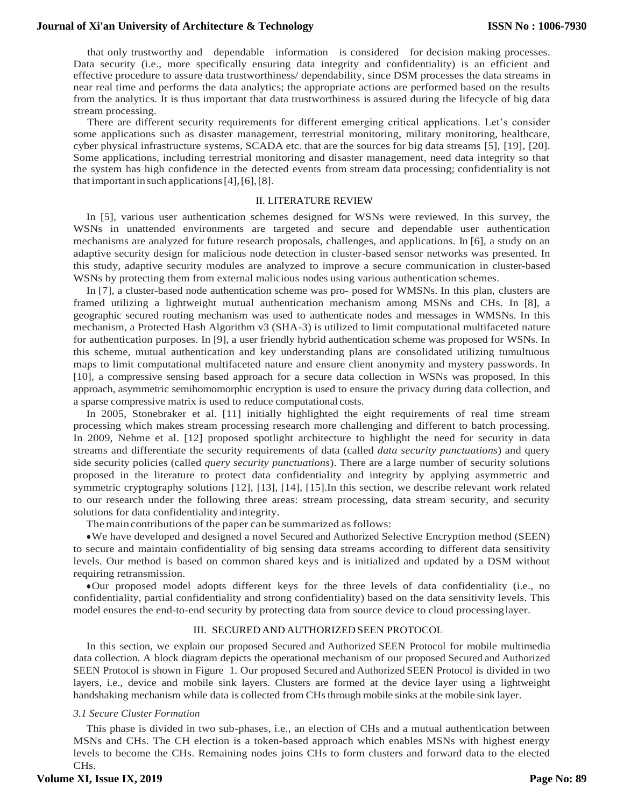that only trustworthy and dependable information is considered for decision making processes. Data security (i.e., more specifically ensuring data integrity and confidentiality) is an efficient and effective procedure to assure data trustworthiness/ dependability, since DSM processes the data streams in near real time and performs the data analytics; the appropriate actions are performed based on the results from the analytics. It is thus important that data trustworthiness is assured during the lifecycle of big data stream processing.

There are different security requirements for different emerging critical applications. Let's consider some applications such as disaster management, terrestrial monitoring, military monitoring, healthcare, cyber physical infrastructure systems, SCADA etc. that are the sources for big data streams [5], [19], [20]. Some applications, including terrestrial monitoring and disaster management, need data integrity so that the system has high confidence in the detected events from stream data processing; confidentiality is not that importantinsuchapplications[4],[6],[8].

#### II. LITERATURE REVIEW

In [5], various user authentication schemes designed for WSNs were reviewed. In this survey, the WSNs in unattended environments are targeted and secure and dependable user authentication mechanisms are analyzed for future research proposals, challenges, and applications. In [6], a study on an adaptive security design for malicious node detection in cluster-based sensor networks was presented. In this study, adaptive security modules are analyzed to improve a secure communication in cluster-based WSNs by protecting them from external malicious nodes using various authentication schemes.

In [7], a cluster-based node authentication scheme was pro- posed for WMSNs. In this plan, clusters are framed utilizing a lightweight mutual authentication mechanism among MSNs and CHs. In [8], a geographic secured routing mechanism was used to authenticate nodes and messages in WMSNs. In this mechanism, a Protected Hash Algorithm v3 (SHA-3) is utilized to limit computational multifaceted nature for authentication purposes. In [9], a user friendly hybrid authentication scheme was proposed for WSNs. In this scheme, mutual authentication and key understanding plans are consolidated utilizing tumultuous maps to limit computational multifaceted nature and ensure client anonymity and mystery passwords. In [10], a compressive sensing based approach for a secure data collection in WSNs was proposed. In this approach, asymmetric semihomomorphic encryption is used to ensure the privacy during data collection, and a sparse compressive matrix is used to reduce computational costs.

In 2005, Stonebraker et al. [11] initially highlighted the eight requirements of real time stream processing which makes stream processing research more challenging and different to batch processing. In 2009, Nehme et al. [12] proposed spotlight architecture to highlight the need for security in data streams and differentiate the security requirements of data (called *data security punctuations*) and query side security policies (called *query security punctuations*). There are a large number of security solutions proposed in the literature to protect data confidentiality and integrity by applying asymmetric and symmetric cryptography solutions [12], [13], [14], [15].In this section, we describe relevant work related to our research under the following three areas: stream processing, data stream security, and security solutions for data confidentiality and integrity.

The main contributions of the paper can be summarized as follows:

●We have developed and designed a novel Secured and Authorized Selective Encryption method (SEEN) to secure and maintain confidentiality of big sensing data streams according to different data sensitivity levels. Our method is based on common shared keys and is initialized and updated by a DSM without requiring retransmission.

●Our proposed model adopts different keys for the three levels of data confidentiality (i.e., no confidentiality, partial confidentiality and strong confidentiality) based on the data sensitivity levels. This model ensures the end-to-end security by protecting data from source device to cloud processinglayer.

#### III. SECURED AND AUTHORIZED SEEN PROTOCOL

In this section, we explain our proposed Secured and Authorized SEEN Protocol for mobile multimedia data collection. A block diagram depicts the operational mechanism of our proposed Secured and Authorized SEEN Protocol is shown in Figure 1. Our proposed Secured and Authorized SEEN Protocol is divided in two layers, i.e., device and mobile sink layers. Clusters are formed at the device layer using a lightweight handshaking mechanism while data is collected from CHs through mobile sinks at the mobile sink layer.

#### *3.1 Secure Cluster Formation*

This phase is divided in two sub-phases, i.e., an election of CHs and a mutual authentication between MSNs and CHs. The CH election is a token-based approach which enables MSNs with highest energy levels to become the CHs. Remaining nodes joins CHs to form clusters and forward data to the elected CHs.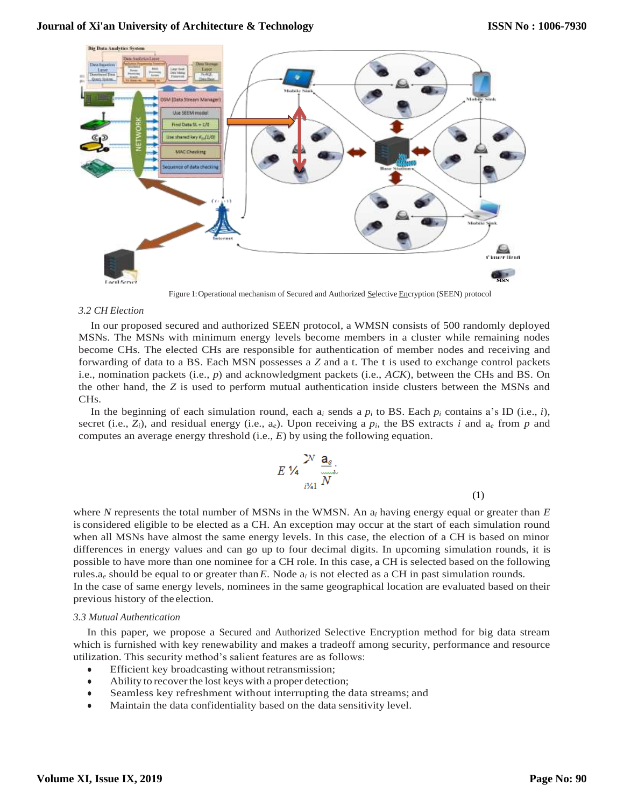

Figure 1:Operational mechanism of Secured and Authorized Selective Encryption (SEEN) protocol

### *3.2 CH Election*

In our proposed secured and authorized SEEN protocol, a WMSN consists of 500 randomly deployed MSNs. The MSNs with minimum energy levels become members in a cluster while remaining nodes become CHs. The elected CHs are responsible for authentication of member nodes and receiving and forwarding of data to a BS. Each MSN possesses a *Z* and a t. The t is used to exchange control packets i.e., nomination packets (i.e., *p*) and acknowledgment packets (i.e., *ACK*), between the CHs and BS. On the other hand, the *Z* is used to perform mutual authentication inside clusters between the MSNs and CHs.

In the beginning of each simulation round, each  $a_i$  sends a  $p_i$  to BS. Each  $p_i$  contains a's ID (i.e., *i*), secret (i.e.,  $Z_i$ ), and residual energy (i.e.,  $a_e$ ). Upon receiving a  $p_i$ , the BS extracts *i* and  $a_e$  from  $p$  and computes an average energy threshold (i.e., *E*) by using the following equation.

$$
E\mathcal{V}_4 \frac{\mathbf{a}_e}{\sum_{i\neq 1}^{N} N}.
$$

where *N* represents the total number of MSNs in the WMSN. An a*<sup>i</sup>* having energy equal or greater than *E*  is considered eligible to be elected as a CH. An exception may occur at the start of each simulation round when all MSNs have almost the same energy levels. In this case, the election of a CH is based on minor differences in energy values and can go up to four decimal digits. In upcoming simulation rounds, it is possible to have more than one nominee for a CH role. In this case, a CH is selected based on the following rules.a*<sup>e</sup>* should be equal to or greater than*E*. Node a*<sup>i</sup>* is not elected as a CH in past simulation rounds. In the case of same energy levels, nominees in the same geographical location are evaluated based on their previous history of the election.

## *3.3 Mutual Authentication*

In this paper, we propose a Secured and Authorized Selective Encryption method for big data stream which is furnished with key renewability and makes a tradeoff among security, performance and resource utilization. This security method's salient features are as follows:

- Efficient key broadcasting without retransmission;
- Ability to recover the lost keys with a proper detection;
- Seamless key refreshment without interrupting the data streams; and
- Maintain the data confidentiality based on the data sensitivity level.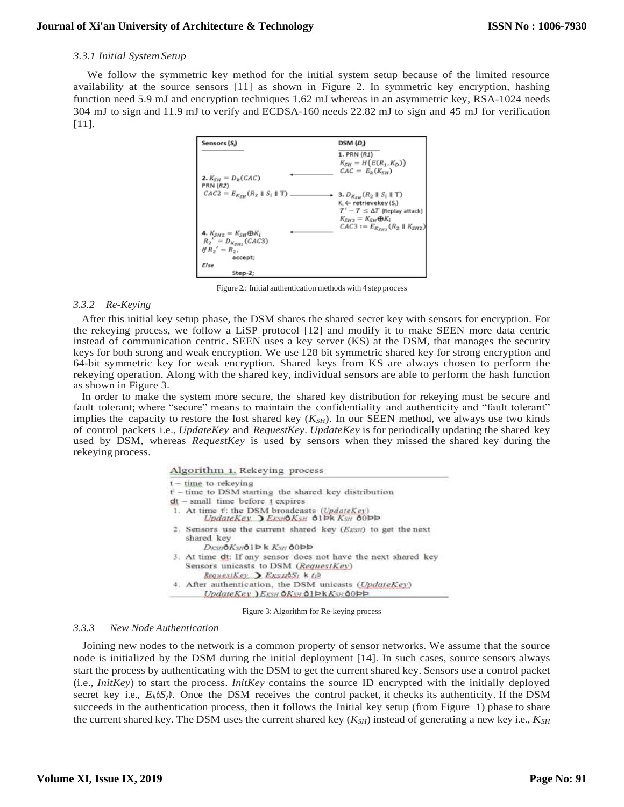## *3.3.1 Initial SystemSetup*

We follow the symmetric key method for the initial system setup because of the limited resource availability at the source sensors [11] as shown in Figure 2. In symmetric key encryption, hashing function need 5.9 mJ and encryption techniques 1.62 mJ whereas in an asymmetric key, RSA-1024 needs 304 mJ to sign and 11.9 mJ to verify and ECDSA-160 needs 22.82 mJ to sign and 45 mJ for verification [11].



Figure 2.: Initial authentication methods with 4 step process

## *3.3.2 Re-Keying*

After this initial key setup phase, the DSM shares the shared secret key with sensors for encryption. For the rekeying process, we follow a LiSP protocol [12] and modify it to make SEEN more data centric instead of communication centric. SEEN uses a key server (KS) at the DSM, that manages the security keys for both strong and weak encryption. We use 128 bit symmetric shared key for strong encryption and 64-bit symmetric key for weak encryption. Shared keys from KS are always chosen to perform the rekeying operation. Along with the shared key, individual sensors are able to perform the hash function as shown in Figure 3.

In order to make the system more secure, the shared key distribution for rekeying must be secure and fault tolerant; where "secure" means to maintain the confidentiality and authenticity and "fault tolerant" implies the capacity to restore the lost shared key  $(K_{SH})$ . In our SEEN method, we always use two kinds of control packets i.e., *UpdateKey* and *RequestKey*. *UpdateKey* is for periodically updating the shared key used by DSM, whereas *RequestKey* is used by sensors when they missed the shared key during the rekeying process.

|  |  | Algorithm 1. Rekeying process |  |
|--|--|-------------------------------|--|
|--|--|-------------------------------|--|

| $t - time$ to rekeying                                                                                                                                 |
|--------------------------------------------------------------------------------------------------------------------------------------------------------|
| $t^{\prime}$ – time to DSM starting the shared key distribution                                                                                        |
| $dt$ – small time before $t$ expires                                                                                                                   |
| 1. At time t: the DSM broadcasts (UpdateKey)<br>UpdateKey, ExsubKsH 61Pk KsH 60PP                                                                      |
| 2. Sensors use the current shared key $(E_{KSH})$ to get the next<br>shared key<br>DESHOKSHOID K KSH 00DD                                              |
| 3. At time dt: If any sensor does not have the next shared key<br>Sensors unicasts to DSM (RequestKey)<br>RequestKey $\sum$ ExsHOSI $k$ $t$ $\dot{t}$  |
| 4. After authentication, the DSM unicasts (UpdateKey)<br>$UpdateKey$ ) $E_{XSH}$ $\Delta K_{SH}$ $\Delta 1$ $\Delta K_{SH}$ $\Delta 0$ $\Delta \Delta$ |

Figure 3: Algorithm for Re-keying process

## *3.3.3 New Node Authentication*

Joining new nodes to the network is a common property of sensor networks. We assume that the source node is initialized by the DSM during the initial deployment [14]. In such cases, source sensors always start the process by authenticating with the DSM to get the current shared key. Sensors use a control packet (i.e., *InitKey*) to start the process. *InitKey* contains the source ID encrypted with the initially deployed secret key i.e.,  $E_k \delta S_j$ <sup>b</sup>. Once the DSM receives the control packet, it checks its authenticity. If the DSM succeeds in the authentication process, then it follows the Initial key setup (from Figure 1) phase to share the current shared key. The DSM uses the current shared key (*KSH*) instead of generating a new key i.e., *KSH*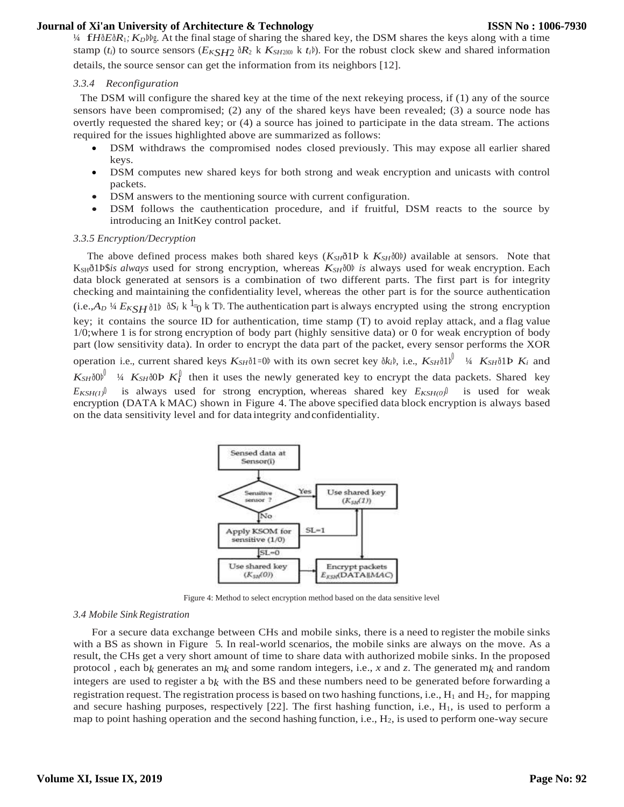<sup>¼</sup> f*<sup>H</sup>*ð*E*ð*R*1*; <sup>K</sup>D*ÞÞg. At the final stage of sharing the shared key, the DSM shares the keys along with a time stamp (*t<sub>i</sub>*) to source sensors ( $E_{KSH2}$   $\delta R_2$  k  $K_{SH2\delta 0}$ ) k  $t_i$ b). For the robust clock skew and shared information

details, the source sensor can get the information from its neighbors [12].

## *3.3.4 Reconfiguration*

The DSM will configure the shared key at the time of the next rekeying process, if (1) any of the source sensors have been compromised; (2) any of the shared keys have been revealed; (3) a source node has overtly requested the shared key; or (4) a source has joined to participate in the data stream. The actions required for the issues highlighted above are summarized as follows:

- DSM withdraws the compromised nodes closed previously. This may expose all earlier shared keys.
- DSM computes new shared keys for both strong and weak encryption and unicasts with control packets.
- DSM answers to the mentioning source with current configuration.
- DSM follows the cauthentication procedure, and if fruitful, DSM reacts to the source by introducing an InitKey control packet.

### *3.3.5 Encryption/Decryption*

The above defined process makes both shared keys  $(K_{SH}$ ð1Þ k  $K_{SH}$ ð0Þ) available at sensors. Note that KSHð1Þ\$*is always* used for strong encryption, whereas *KSH*ð0Þ *is* always used for weak encryption. Each data block generated at sensors is a combination of two different parts. The first part is for integrity checking and maintaining the confidentiality level, whereas the other part is for the source authentication  $(i.e., A<sub>D</sub>$  1/4  $E<sub>KSH</sub>$   $\delta$ 1 $\delta$   $\delta$  k  $\delta$ <sup>1</sup> $\delta$ <sub>0</sub> k T<sup>p</sup>. The authentication part is always encrypted using the strong encryption key; it contains the source ID for authentication, time stamp (T) to avoid replay attack, and a flag value 1/0;where 1 is for strong encryption of body part (highly sensitive data) or 0 for weak encryption of body part (low sensitivity data). In order to encrypt the data part of the packet, every sensor performs the XOR operation i.e., current shared keys  $K_{SH}$ ð1=0Þ with its own secret key ð $k_i$ Þ, i.e.,  $K_{SH}$ ð1Þ $\mu$ <sup>0</sup> <sup>1</sup>/4  $K_{SH}$ ð1Þ $K_i$  and  $K_{SH}$ ð $0$ þ<sup> $\int$  ¼  $K_{SH}$ ð $0$ Þ $K_l^{\int}$  then it uses the newly generated key to encrypt the data packets. Shared key</sup>  $E_{KSH(1)}$ <sup>0</sup> is always used for strong encryption, whereas shared key  $E_{KSH(0)}$ <sup>0</sup> is used for weak encryption (DATA k MAC) shown in Figure 4. The above specified data block encryption is always based on the data sensitivity level and for data integrity andconfidentiality.



Figure 4: Method to select encryption method based on the data sensitive level

#### *3.4 Mobile Sink Registration*

For a secure data exchange between CHs and mobile sinks, there is a need to register the mobile sinks with a BS as shown in Figure 5. In real-world scenarios, the mobile sinks are always on the move. As a result, the CHs get a very short amount of time to share data with authorized mobile sinks. In the proposed protocol , each b*k* generates an m*k* and some random integers, i.e., *x* and *z*. The generated m*k* and random integers are used to register a  $b_k$  with the BS and these numbers need to be generated before forwarding a registration request. The registration process is based on two hashing functions, i.e.,  $H_1$  and  $H_2$ , for mapping and secure hashing purposes, respectively  $[22]$ . The first hashing function, i.e.,  $H_1$ , is used to perform a map to point hashing operation and the second hashing function, i.e.,  $H_2$ , is used to perform one-way secure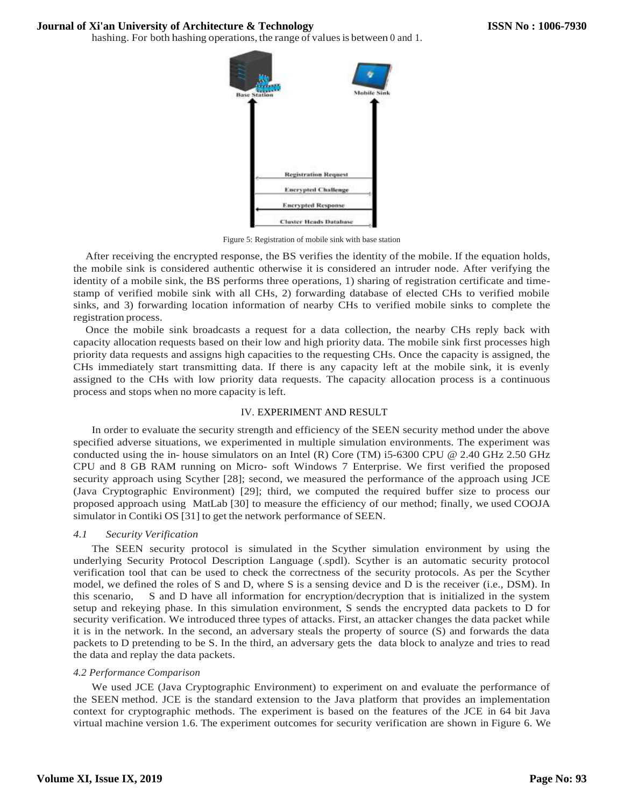hashing. For both hashing operations, the range of values is between 0 and 1.



Figure 5: Registration of mobile sink with base station

After receiving the encrypted response, the BS verifies the identity of the mobile. If the equation holds, the mobile sink is considered authentic otherwise it is considered an intruder node. After verifying the identity of a mobile sink, the BS performs three operations, 1) sharing of registration certificate and timestamp of verified mobile sink with all CHs, 2) forwarding database of elected CHs to verified mobile sinks, and 3) forwarding location information of nearby CHs to verified mobile sinks to complete the registration process.

Once the mobile sink broadcasts a request for a data collection, the nearby CHs reply back with capacity allocation requests based on their low and high priority data. The mobile sink first processes high priority data requests and assigns high capacities to the requesting CHs. Once the capacity is assigned, the CHs immediately start transmitting data. If there is any capacity left at the mobile sink, it is evenly assigned to the CHs with low priority data requests. The capacity allocation process is a continuous process and stops when no more capacity is left.

## IV. EXPERIMENT AND RESULT

In order to evaluate the security strength and efficiency of the SEEN security method under the above specified adverse situations, we experimented in multiple simulation environments. The experiment was conducted using the in- house simulators on an Intel (R) Core (TM) i5-6300 CPU @ 2.40 GHz 2.50 GHz CPU and 8 GB RAM running on Micro- soft Windows 7 Enterprise. We first verified the proposed security approach using Scyther [28]; second, we measured the performance of the approach using JCE (Java Cryptographic Environment) [29]; third, we computed the required buffer size to process our proposed approach using MatLab [30] to measure the efficiency of our method; finally, we used COOJA simulator in Contiki OS [31] to get the network performance of SEEN.

# *4.1 Security Verification*

The SEEN security protocol is simulated in the Scyther simulation environment by using the underlying Security Protocol Description Language (.spdl). Scyther is an automatic security protocol verification tool that can be used to check the correctness of the security protocols. As per the Scyther model, we defined the roles of S and D, where S is a sensing device and D is the receiver (i.e., DSM). In this scenario, S and D have all information for encryption/decryption that is initialized in the system setup and rekeying phase. In this simulation environment, S sends the encrypted data packets to D for security verification. We introduced three types of attacks. First, an attacker changes the data packet while it is in the network. In the second, an adversary steals the property of source (S) and forwards the data packets to D pretending to be S. In the third, an adversary gets the data block to analyze and tries to read the data and replay the data packets.

## *4.2 Performance Comparison*

We used JCE (Java Cryptographic Environment) to experiment on and evaluate the performance of the SEEN method. JCE is the standard extension to the Java platform that provides an implementation context for cryptographic methods. The experiment is based on the features of the JCE in 64 bit Java virtual machine version 1.6. The experiment outcomes for security verification are shown in Figure 6. We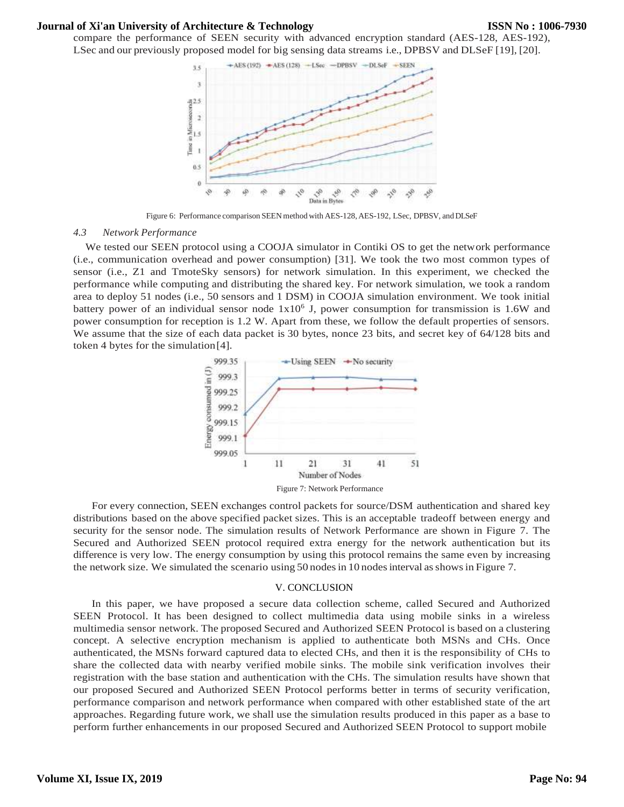compare the performance of SEEN security with advanced encryption standard (AES-128, AES-192), LSec and our previously proposed model for big sensing data streams i.e., DPBSV and DLSeF [19], [20].



Figure 6: Performance comparison SEEN method with AES-128, AES-192, LSec, DPBSV, and DLSeF

#### *4.3 Network Performance*

We tested our SEEN protocol using a COOJA simulator in Contiki OS to get the network performance (i.e., communication overhead and power consumption) [31]. We took the two most common types of sensor (i.e., Z1 and TmoteSky sensors) for network simulation. In this experiment, we checked the performance while computing and distributing the shared key. For network simulation, we took a random area to deploy 51 nodes (i.e., 50 sensors and 1 DSM) in COOJA simulation environment. We took initial battery power of an individual sensor node  $1x10<sup>6</sup>$  J, power consumption for transmission is 1.6W and power consumption for reception is 1.2 W. Apart from these, we follow the default properties of sensors. We assume that the size of each data packet is 30 bytes, nonce 23 bits, and secret key of 64/128 bits and token 4 bytes for the simulation[4].



For every connection, SEEN exchanges control packets for source/DSM authentication and shared key distributions based on the above specified packet sizes. This is an acceptable tradeoff between energy and security for the sensor node. The simulation results of Network Performance are shown in Figure 7. The Secured and Authorized SEEN protocol required extra energy for the network authentication but its difference is very low. The energy consumption by using this protocol remains the same even by increasing the network size. We simulated the scenario using 50 nodes in 10 nodes interval as shows in Figure 7.

#### V. CONCLUSION

In this paper, we have proposed a secure data collection scheme, called Secured and Authorized SEEN Protocol. It has been designed to collect multimedia data using mobile sinks in a wireless multimedia sensor network. The proposed Secured and Authorized SEEN Protocol is based on a clustering concept. A selective encryption mechanism is applied to authenticate both MSNs and CHs. Once authenticated, the MSNs forward captured data to elected CHs, and then it is the responsibility of CHs to share the collected data with nearby verified mobile sinks. The mobile sink verification involves their registration with the base station and authentication with the CHs. The simulation results have shown that our proposed Secured and Authorized SEEN Protocol performs better in terms of security verification, performance comparison and network performance when compared with other established state of the art approaches. Regarding future work, we shall use the simulation results produced in this paper as a base to perform further enhancements in our proposed Secured and Authorized SEEN Protocol to support mobile